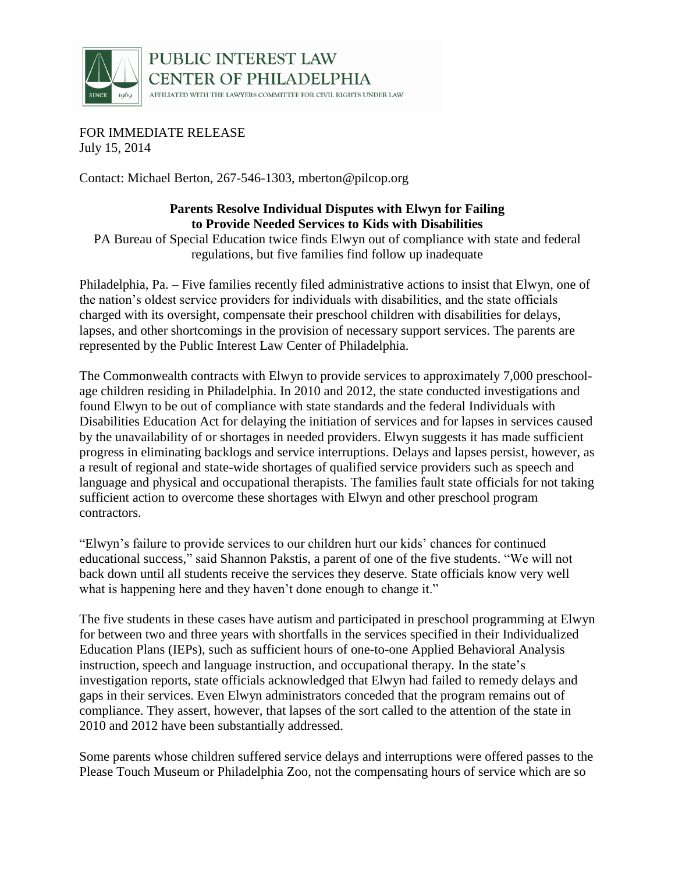

## PUBLIC INTEREST LAW **CENTER OF PHILADELPHIA**

AFFILIATED WITH THE LAWYERS COMMITTEE FOR CIVIL RIGHTS UNDER LAW

FOR IMMEDIATE RELEASE July 15, 2014

Contact: Michael Berton, 267-546-1303, mberton@pilcop.org

## **Parents Resolve Individual Disputes with Elwyn for Failing to Provide Needed Services to Kids with Disabilities**

PA Bureau of Special Education twice finds Elwyn out of compliance with state and federal regulations, but five families find follow up inadequate

Philadelphia, Pa. – Five families recently filed administrative actions to insist that Elwyn, one of the nation's oldest service providers for individuals with disabilities, and the state officials charged with its oversight, compensate their preschool children with disabilities for delays, lapses, and other shortcomings in the provision of necessary support services. The parents are represented by the Public Interest Law Center of Philadelphia.

The Commonwealth contracts with Elwyn to provide services to approximately 7,000 preschoolage children residing in Philadelphia. In 2010 and 2012, the state conducted investigations and found Elwyn to be out of compliance with state standards and the federal Individuals with Disabilities Education Act for delaying the initiation of services and for lapses in services caused by the unavailability of or shortages in needed providers. Elwyn suggests it has made sufficient progress in eliminating backlogs and service interruptions. Delays and lapses persist, however, as a result of regional and state-wide shortages of qualified service providers such as speech and language and physical and occupational therapists. The families fault state officials for not taking sufficient action to overcome these shortages with Elwyn and other preschool program contractors.

"Elwyn's failure to provide services to our children hurt our kids' chances for continued educational success," said Shannon Pakstis, a parent of one of the five students. "We will not back down until all students receive the services they deserve. State officials know very well what is happening here and they haven't done enough to change it."

The five students in these cases have autism and participated in preschool programming at Elwyn for between two and three years with shortfalls in the services specified in their Individualized Education Plans (IEPs), such as sufficient hours of one-to-one Applied Behavioral Analysis instruction, speech and language instruction, and occupational therapy. In the state's investigation reports, state officials acknowledged that Elwyn had failed to remedy delays and gaps in their services. Even Elwyn administrators conceded that the program remains out of compliance. They assert, however, that lapses of the sort called to the attention of the state in 2010 and 2012 have been substantially addressed.

Some parents whose children suffered service delays and interruptions were offered passes to the Please Touch Museum or Philadelphia Zoo, not the compensating hours of service which are so